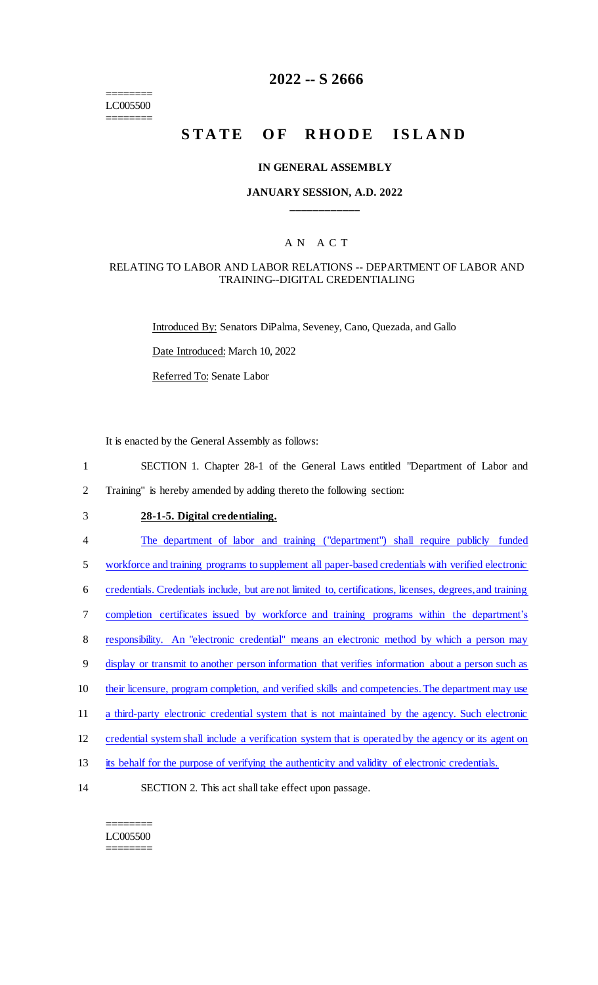======== LC005500 ========

## **2022 -- S 2666**

# **STATE OF RHODE ISLAND**

#### **IN GENERAL ASSEMBLY**

## **JANUARY SESSION, A.D. 2022 \_\_\_\_\_\_\_\_\_\_\_\_**

## A N A C T

## RELATING TO LABOR AND LABOR RELATIONS -- DEPARTMENT OF LABOR AND TRAINING--DIGITAL CREDENTIALING

Introduced By: Senators DiPalma, Seveney, Cano, Quezada, and Gallo

Date Introduced: March 10, 2022

Referred To: Senate Labor

It is enacted by the General Assembly as follows:

- 1 SECTION 1. Chapter 28-1 of the General Laws entitled "Department of Labor and 2 Training" is hereby amended by adding thereto the following section:
- 

## 3 **28-1-5. Digital credentialing.**

4 The department of labor and training ("department") shall require publicly funded

5 workforce and training programs to supplement all paper-based credentials with verified electronic

- 6 credentials. Credentials include, but are not limited to, certifications, licenses, degrees, and training
- 7 completion certificates issued by workforce and training programs within the department's
- 8 responsibility. An "electronic credential" means an electronic method by which a person may
- 9 display or transmit to another person information that verifies information about a person such as
- 10 their licensure, program completion, and verified skills and competencies. The department may use
- 11 a third-party electronic credential system that is not maintained by the agency. Such electronic
- 12 credential system shall include a verification system that is operated by the agency or its agent on
- 13 its behalf for the purpose of verifying the authenticity and validity of electronic credentials.
- 14 SECTION 2. This act shall take effect upon passage.

#### ======== LC005500 ========